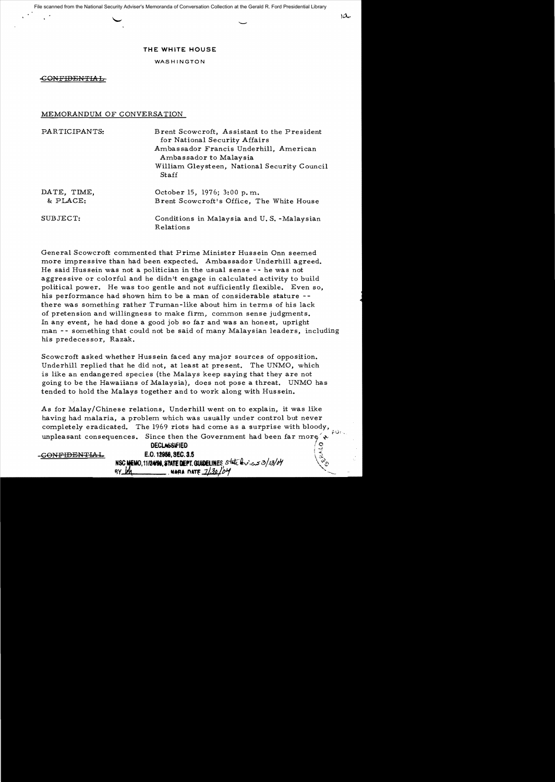**THE WHITE HOUSE** 

WASHINGTON

#### -CONFIDENTIAL-

### MEMORANDUM OF CONVERSATION

| PARTICIPANTS:           | Brent Scowcroft, Assistant to the President<br>for National Security Affairs<br>Ambassador Francis Underhill, American<br>Ambassador to Malaysia |  |  |  |  |
|-------------------------|--------------------------------------------------------------------------------------------------------------------------------------------------|--|--|--|--|
|                         | William Gleysteen, National Security Council<br><b>Staff</b>                                                                                     |  |  |  |  |
| DATE. TIME.<br>& PLACE: | October 15, 1976; 3:00 p.m.<br>Brent Scowcroft's Office, The White House                                                                         |  |  |  |  |
| SUBJECT:                | Conditions in Malaysia and U.S. -Malaysian<br>Relations                                                                                          |  |  |  |  |

General Scowcroft commented that Prime Minister Hussein Onn seemed more impressive than had been expected. Ambassador Underhill agreed. He said Hussein was not a politician in the usual sense - - he was not aggres sive or colorful and he didn't engage in calculated activity to build political power. He was too gentle and not sufficiently flexible. Even so, his performance had shown him to be a man of considerable stature -there was something rather Truman-like about him in terms of his lack of pretension and willingness to make firm, common sense judgments. In any event, he had done a good job so far and was an honest, upright man -- something that could not be said of many Malaysian leaders, including his predecessor, Razak.

Scowcroft asked whether Hussein faced any major sources of opposition. Underhill replied that he did not, at least at present. The UNMO, which is like an endangered species (the Malays keep saying that they are not going to be the Hawaiians of Malaysia), does not pose a threat. UNMO has tended to hold the Malays together and to work along with Hussein.

As for Malay/Chinese relations, Underhill went on to explain, it was like having had malaria, a problem which was usually under control but never completely eradicated. The 1969 riots had come as a surprise with bloody, unpleasant consequences. Since then the Government had been far more  $\rightarrow$ 

DECLASSIFIED  $-$ GONFIDENTIAL. **E.O.** 12958, SEC. 3.5 NSC MEMO. 1112498. STATE DEPT. GUIDELINES State builder 2018/04 <u>, wara date 71.30104</u>

j -:.f

 $\Omega$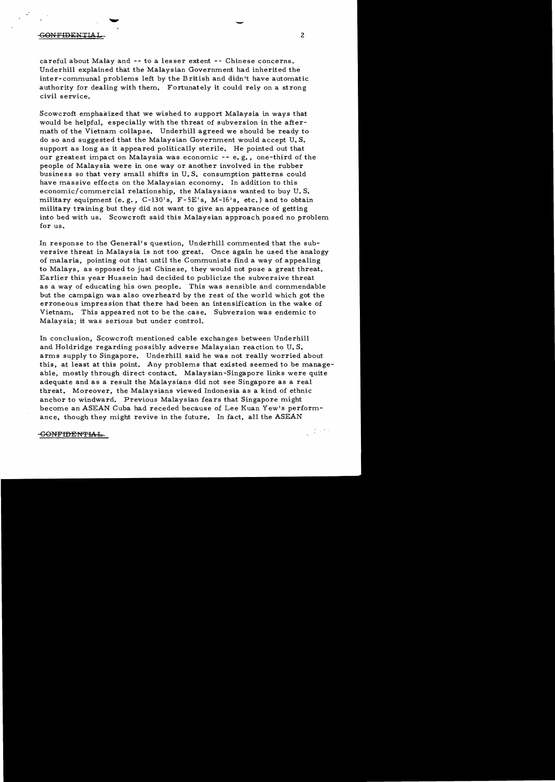#### GONFIDENTlAL 2

careful about Malay and -- to a lesser extent -- Chinese concerns. Underhill explained that the Malaysian Government had inherited the inter-communal problems left by the British and didn't have automatic authority for dealing with them. Fortunately it could rely on a strong civil service.

Scowcroft emphasized that we wished to support Malaysia in ways that would be helpful, especially with the threat of subversion in the aftermath of the Vietnam collapse. Underhill agreed we should be ready to do so and suggested that the Malaysian Government would accept U. S. support as long as it appeared politically sterile. He pointed out that our greatest impact on Malaysia was economic -- e. g., one-third of the people of Malaysia were in one way or another involved in the rubber business so that very small shifts in U. S. consumption patterns could have massive effects on the Malaysian economy. In addition to this economic/commercial relationship, the Malaysians wanted to buy U.S. military equipment (e.g., C-130's, F-5E's, M-16's, etc.) and to obtain military training but they did not want to give an appearance of getting into bed with us. Scowcroft said this Malaysian approach posed no problem for us.

In response to the General's question, Underhill commented that the subversive threat in Malaysia is not too great. Once again he used the analogy of malaria, pointing out that until the Communists find a way of appealing to Malays, as opposed to just Chinese, they would not pose a great threat. Earlier this year Hussein had decided to publicize the subversive threat as a way of educating his own people. This was sensible and commendable but the campaign was also overheard by the rest of the world which got the erroneous impression that there had been an intensification in the wake of Vietnam. This appeared not to be the case. Subversion was endemic to Malaysia; it was serious but under control.

In conclusion, Scowcroft mentioned cable exchanges between Underhill and Holdridge regarding possibly adverse Malaysian reaction to U. S. arms supply to Singapore. Underhill said he was not really worried about this, at least at this point. Any problems that existed seemed to be manageable, mostly through direct contact. Malaysian-Singapore links were quite adequate and as a result the Malaysians did not see Singapore as a real threat. Moreover, the Malaysians viewed Indonesia as a kind of ethnic anchor to windward. Previous Malaysian fears that Singapore might become an ASEAN Cuba had receded because of Lee Kuan Yew's performance, though they might revive in the future. In fact, all the ASEAN

#### GONFIDENTIAL

 $\label{eq:1} \frac{1}{2}\sum_{\mathbf{q}\in\mathbb{Z}^d}\left(\frac{1}{2}\sum_{\mathbf{q}\in\mathbb{Z}^d}\mathcal{L}_{\mathbf{q}}\right)^{\mathbf{q}}$ 

 $\overline{\phantom{a}}$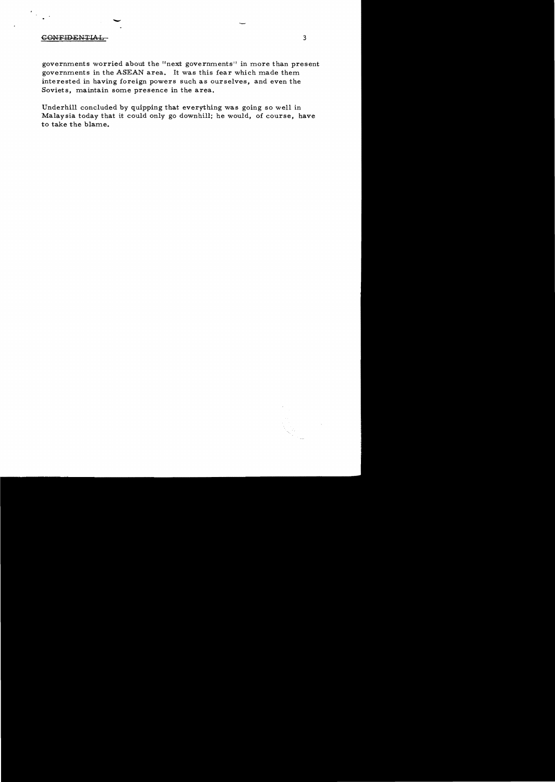# CONFIDENTIAL

 $\ddot{\phantom{0}}$ 

governments worried about the "next governments" in more than present governments in the ASEAN area. It was this fear which made them interested in having foreign powers such as ourselves, and even the Soviets, maintain some presence in the area.

3

Underhill concluded by quipping that everything was going so well in Malaysia today that it could only go downhill; he would, of course, have to take the blame.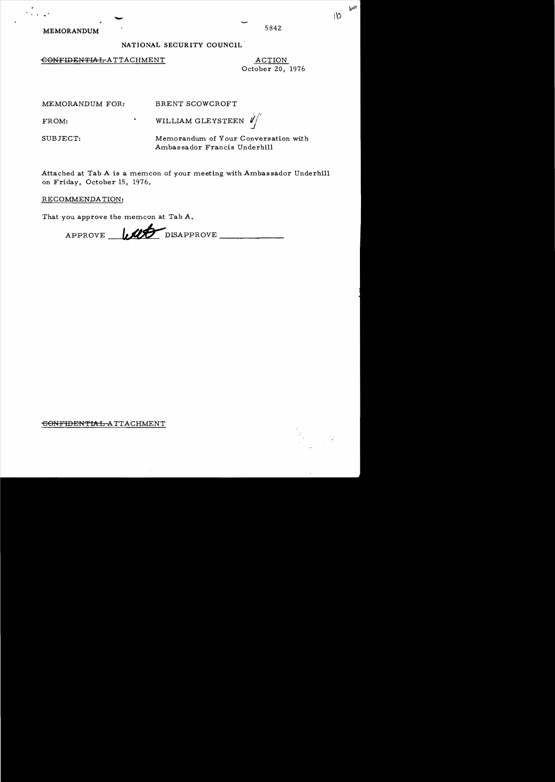MEMORANDUM 5842

## NATIONAL SECURITY COUNCIL

 $\overline{6}$ ONFIDENTIAL-ATTACHMENT ACTION

October 20, 1976

 $\mathcal{L}$ *v:;* 

MEMORANDUM FOR: BRENT SCOWCROFT

FROM: THE MILLIAM GLEYSTEEN

SUBJECT: Memorandum of Your Conversation with Ambas sador Francis Underhill

Attached at Tab A is a memcon of your meeting with Ambassador Underhill on Friday, October 15, 1976.

RECOMMENDATION:

That *you* approve the memcon at Tab A.

APPROVE ULLE DISAPPROVE \_\_\_\_\_

€ONFIDENTIAL ATTACHMENT



**WH** " l'O